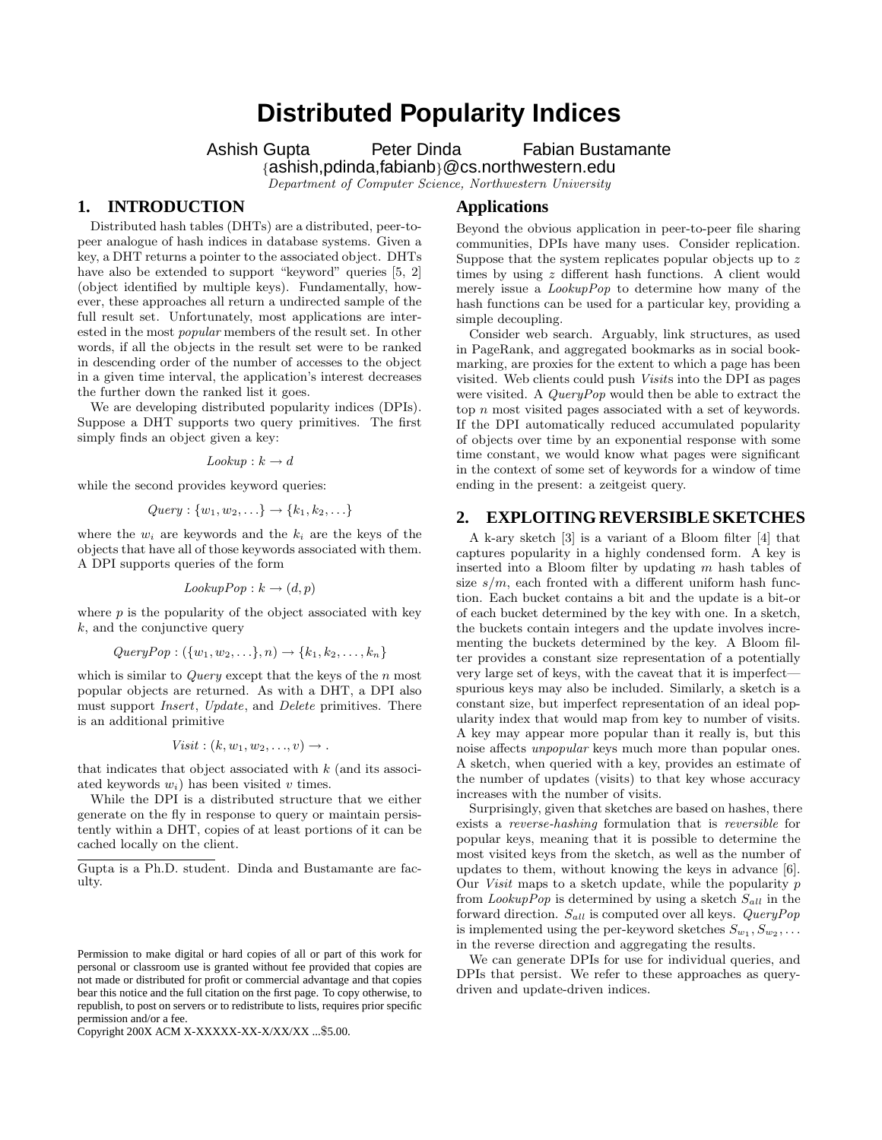# **Distributed Popularity Indices**

Ashish Gupta Peter Dinda Fabian Bustamante

{ashish,pdinda,fabianb}@cs.northwestern.edu

*Department of Computer Science, Northwestern University*

#### **1. INTRODUCTION**

Distributed hash tables (DHTs) are a distributed, peer-topeer analogue of hash indices in database systems. Given a key, a DHT returns a pointer to the associated object. DHTs have also be extended to support "keyword" queries [5, 2] (object identified by multiple keys). Fundamentally, however, these approaches all return a undirected sample of the full result set. Unfortunately, most applications are interested in the most *popular* members of the result set. In other words, if all the objects in the result set were to be ranked in descending order of the number of accesses to the object in a given time interval, the application's interest decreases the further down the ranked list it goes.

We are developing distributed popularity indices (DPIs). Suppose a DHT supports two query primitives. The first simply finds an object given a key:

 $Lookup : k \rightarrow d$ 

while the second provides keyword queries:

$$
Query: \{w_1, w_2, \ldots\} \rightarrow \{k_1, k_2, \ldots\}
$$

where the  $w_i$  are keywords and the  $k_i$  are the keys of the objects that have all of those keywords associated with them. A DPI supports queries of the form

$$
\mathit{LookupPop} : k \rightarrow (d,p)
$$

where  $p$  is the popularity of the object associated with key  $k$ , and the conjunctive query

$$
QueryPop: (\{w_1, w_2, \ldots\}, n) \rightarrow \{k_1, k_2, \ldots, k_n\}
$$

which is similar to *Query* except that the keys of the n most popular objects are returned. As with a DHT, a DPI also must support *Insert*, *Update*, and *Delete* primitives. There is an additional primitive

$$
Visit: (k, w_1, w_2, \ldots, v) \rightarrow .
$$

that indicates that object associated with  $k$  (and its associated keywords  $w_i$ ) has been visited v times.

While the DPI is a distributed structure that we either generate on the fly in response to query or maintain persistently within a DHT, copies of at least portions of it can be cached locally on the client.

Copyright 200X ACM X-XXXXX-XX-X/XX/XX ...\$5.00.

### **Applications**

Beyond the obvious application in peer-to-peer file sharing communities, DPIs have many uses. Consider replication. Suppose that the system replicates popular objects up to z times by using z different hash functions. A client would merely issue a *LookupPop* to determine how many of the hash functions can be used for a particular key, providing a simple decoupling.

Consider web search. Arguably, link structures, as used in PageRank, and aggregated bookmarks as in social bookmarking, are proxies for the extent to which a page has been visited. Web clients could push *Visit*s into the DPI as pages were visited. A *QueryPop* would then be able to extract the top n most visited pages associated with a set of keywords. If the DPI automatically reduced accumulated popularity of objects over time by an exponential response with some time constant, we would know what pages were significant in the context of some set of keywords for a window of time ending in the present: a zeitgeist query.

#### **2. EXPLOITING REVERSIBLE SKETCHES**

A k-ary sketch [3] is a variant of a Bloom filter [4] that captures popularity in a highly condensed form. A key is inserted into a Bloom filter by updating m hash tables of size  $s/m$ , each fronted with a different uniform hash function. Each bucket contains a bit and the update is a bit-or of each bucket determined by the key with one. In a sketch, the buckets contain integers and the update involves incrementing the buckets determined by the key. A Bloom filter provides a constant size representation of a potentially very large set of keys, with the caveat that it is imperfect spurious keys may also be included. Similarly, a sketch is a constant size, but imperfect representation of an ideal popularity index that would map from key to number of visits. A key may appear more popular than it really is, but this noise affects *unpopular* keys much more than popular ones. A sketch, when queried with a key, provides an estimate of the number of updates (visits) to that key whose accuracy increases with the number of visits.

Surprisingly, given that sketches are based on hashes, there exists a *reverse-hashing* formulation that is *reversible* for popular keys, meaning that it is possible to determine the most visited keys from the sketch, as well as the number of updates to them, without knowing the keys in advance [6]. Our *Visit* maps to a sketch update, while the popularity p from *LookupPop* is determined by using a sketch  $S_{all}$  in the forward direction. Sall is computed over all keys. *QueryPop* is implemented using the per-keyword sketches  $S_{w_1}, S_{w_2}, \ldots$ in the reverse direction and aggregating the results.

We can generate DPIs for use for individual queries, and DPIs that persist. We refer to these approaches as querydriven and update-driven indices.

Gupta is a Ph.D. student. Dinda and Bustamante are faculty.

Permission to make digital or hard copies of all or part of this work for personal or classroom use is granted without fee provided that copies are not made or distributed for profit or commercial advantage and that copies bear this notice and the full citation on the first page. To copy otherwise, to republish, to post on servers or to redistribute to lists, requires prior specific permission and/or a fee.